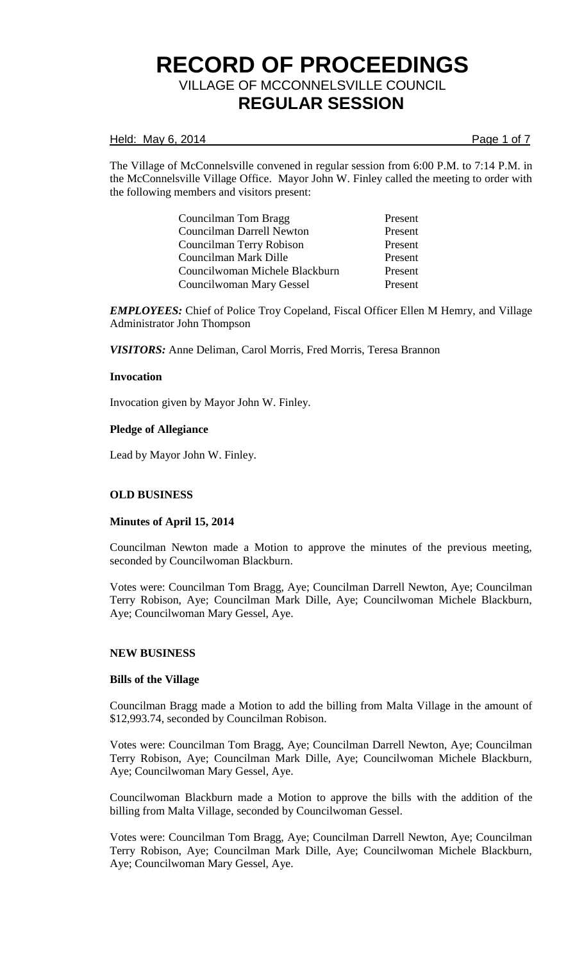### Held: May 6, 2014 **Page 1 of 7**

The Village of McConnelsville convened in regular session from 6:00 P.M. to 7:14 P.M. in the McConnelsville Village Office. Mayor John W. Finley called the meeting to order with the following members and visitors present:

| Councilman Tom Bragg           | Present |
|--------------------------------|---------|
| Councilman Darrell Newton      | Present |
| Councilman Terry Robison       | Present |
| Councilman Mark Dille          | Present |
| Councilwoman Michele Blackburn | Present |
| Councilwoman Mary Gessel       | Present |

*EMPLOYEES:* Chief of Police Troy Copeland, Fiscal Officer Ellen M Hemry, and Village Administrator John Thompson

*VISITORS:* Anne Deliman, Carol Morris, Fred Morris, Teresa Brannon

## **Invocation**

Invocation given by Mayor John W. Finley.

## **Pledge of Allegiance**

Lead by Mayor John W. Finley.

# **OLD BUSINESS**

#### **Minutes of April 15, 2014**

Councilman Newton made a Motion to approve the minutes of the previous meeting, seconded by Councilwoman Blackburn.

Votes were: Councilman Tom Bragg, Aye; Councilman Darrell Newton, Aye; Councilman Terry Robison, Aye; Councilman Mark Dille, Aye; Councilwoman Michele Blackburn, Aye; Councilwoman Mary Gessel, Aye.

#### **NEW BUSINESS**

#### **Bills of the Village**

Councilman Bragg made a Motion to add the billing from Malta Village in the amount of \$12,993.74, seconded by Councilman Robison.

Votes were: Councilman Tom Bragg, Aye; Councilman Darrell Newton, Aye; Councilman Terry Robison, Aye; Councilman Mark Dille, Aye; Councilwoman Michele Blackburn, Aye; Councilwoman Mary Gessel, Aye.

Councilwoman Blackburn made a Motion to approve the bills with the addition of the billing from Malta Village, seconded by Councilwoman Gessel.

Votes were: Councilman Tom Bragg, Aye; Councilman Darrell Newton, Aye; Councilman Terry Robison, Aye; Councilman Mark Dille, Aye; Councilwoman Michele Blackburn, Aye; Councilwoman Mary Gessel, Aye.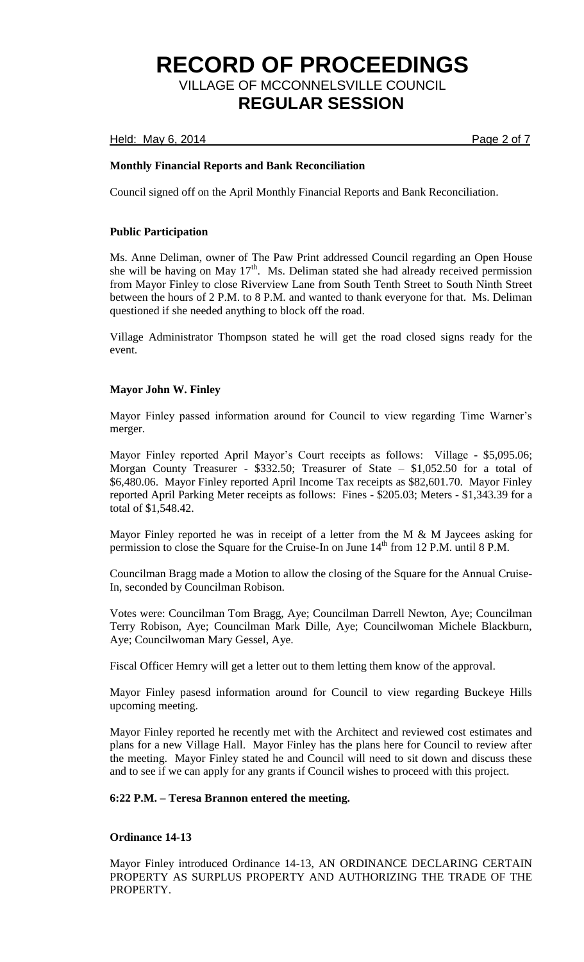Held: May 6, 2014 **Page 2 of 7** 

# **Monthly Financial Reports and Bank Reconciliation**

Council signed off on the April Monthly Financial Reports and Bank Reconciliation.

## **Public Participation**

Ms. Anne Deliman, owner of The Paw Print addressed Council regarding an Open House she will be having on May  $17<sup>th</sup>$ . Ms. Deliman stated she had already received permission from Mayor Finley to close Riverview Lane from South Tenth Street to South Ninth Street between the hours of 2 P.M. to 8 P.M. and wanted to thank everyone for that. Ms. Deliman questioned if she needed anything to block off the road.

Village Administrator Thompson stated he will get the road closed signs ready for the event.

## **Mayor John W. Finley**

Mayor Finley passed information around for Council to view regarding Time Warner's merger.

Mayor Finley reported April Mayor's Court receipts as follows: Village - \$5,095.06; Morgan County Treasurer - \$332.50; Treasurer of State – \$1,052.50 for a total of \$6,480.06. Mayor Finley reported April Income Tax receipts as \$82,601.70. Mayor Finley reported April Parking Meter receipts as follows: Fines - \$205.03; Meters - \$1,343.39 for a total of \$1,548.42.

Mayor Finley reported he was in receipt of a letter from the M & M Jaycees asking for permission to close the Square for the Cruise-In on June  $14<sup>th</sup>$  from 12 P.M. until 8 P.M.

Councilman Bragg made a Motion to allow the closing of the Square for the Annual Cruise-In, seconded by Councilman Robison.

Votes were: Councilman Tom Bragg, Aye; Councilman Darrell Newton, Aye; Councilman Terry Robison, Aye; Councilman Mark Dille, Aye; Councilwoman Michele Blackburn, Aye; Councilwoman Mary Gessel, Aye.

Fiscal Officer Hemry will get a letter out to them letting them know of the approval.

Mayor Finley pasesd information around for Council to view regarding Buckeye Hills upcoming meeting.

Mayor Finley reported he recently met with the Architect and reviewed cost estimates and plans for a new Village Hall. Mayor Finley has the plans here for Council to review after the meeting. Mayor Finley stated he and Council will need to sit down and discuss these and to see if we can apply for any grants if Council wishes to proceed with this project.

#### **6:22 P.M. – Teresa Brannon entered the meeting.**

# **Ordinance 14-13**

Mayor Finley introduced Ordinance 14-13, AN ORDINANCE DECLARING CERTAIN PROPERTY AS SURPLUS PROPERTY AND AUTHORIZING THE TRADE OF THE PROPERTY.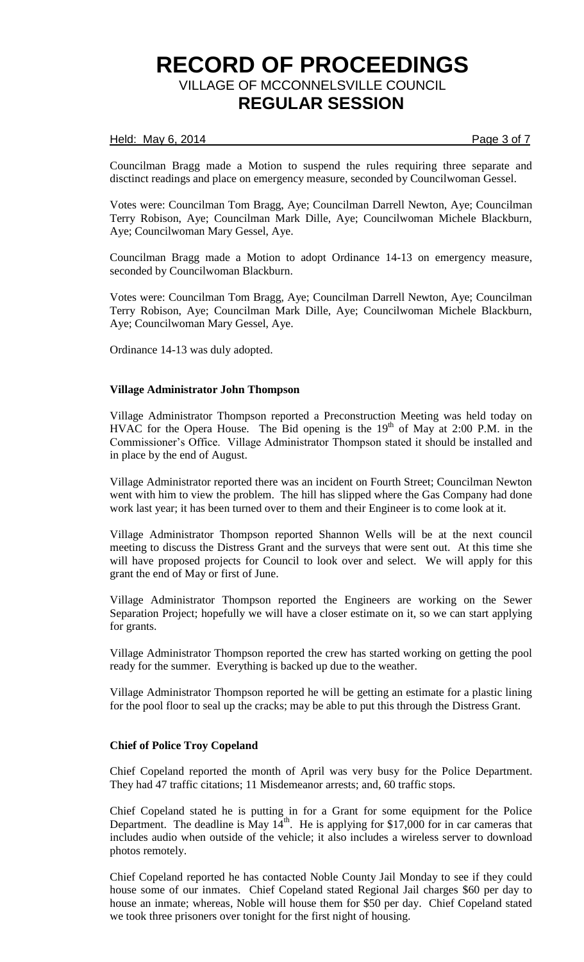### Held: May 6, 2014 **Page 3 of 7**

Councilman Bragg made a Motion to suspend the rules requiring three separate and disctinct readings and place on emergency measure, seconded by Councilwoman Gessel.

Votes were: Councilman Tom Bragg, Aye; Councilman Darrell Newton, Aye; Councilman Terry Robison, Aye; Councilman Mark Dille, Aye; Councilwoman Michele Blackburn, Aye; Councilwoman Mary Gessel, Aye.

Councilman Bragg made a Motion to adopt Ordinance 14-13 on emergency measure, seconded by Councilwoman Blackburn.

Votes were: Councilman Tom Bragg, Aye; Councilman Darrell Newton, Aye; Councilman Terry Robison, Aye; Councilman Mark Dille, Aye; Councilwoman Michele Blackburn, Aye; Councilwoman Mary Gessel, Aye.

Ordinance 14-13 was duly adopted.

## **Village Administrator John Thompson**

Village Administrator Thompson reported a Preconstruction Meeting was held today on HVAC for the Opera House. The Bid opening is the 19<sup>th</sup> of May at 2:00 P.M. in the Commissioner's Office. Village Administrator Thompson stated it should be installed and in place by the end of August.

Village Administrator reported there was an incident on Fourth Street; Councilman Newton went with him to view the problem. The hill has slipped where the Gas Company had done work last year; it has been turned over to them and their Engineer is to come look at it.

Village Administrator Thompson reported Shannon Wells will be at the next council meeting to discuss the Distress Grant and the surveys that were sent out. At this time she will have proposed projects for Council to look over and select. We will apply for this grant the end of May or first of June.

Village Administrator Thompson reported the Engineers are working on the Sewer Separation Project; hopefully we will have a closer estimate on it, so we can start applying for grants.

Village Administrator Thompson reported the crew has started working on getting the pool ready for the summer. Everything is backed up due to the weather.

Village Administrator Thompson reported he will be getting an estimate for a plastic lining for the pool floor to seal up the cracks; may be able to put this through the Distress Grant.

#### **Chief of Police Troy Copeland**

Chief Copeland reported the month of April was very busy for the Police Department. They had 47 traffic citations; 11 Misdemeanor arrests; and, 60 traffic stops.

Chief Copeland stated he is putting in for a Grant for some equipment for the Police Department. The deadline is May  $14<sup>th</sup>$ . He is applying for \$17,000 for in car cameras that includes audio when outside of the vehicle; it also includes a wireless server to download photos remotely.

Chief Copeland reported he has contacted Noble County Jail Monday to see if they could house some of our inmates. Chief Copeland stated Regional Jail charges \$60 per day to house an inmate; whereas, Noble will house them for \$50 per day. Chief Copeland stated we took three prisoners over tonight for the first night of housing.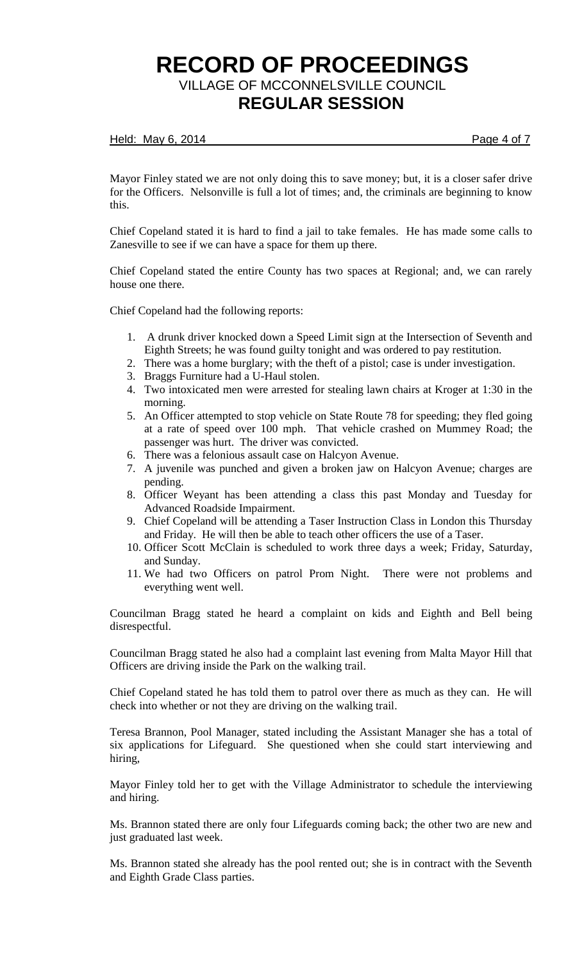### Held: May 6, 2014 **Page 4 of 7**

Mayor Finley stated we are not only doing this to save money; but, it is a closer safer drive for the Officers. Nelsonville is full a lot of times; and, the criminals are beginning to know this.

Chief Copeland stated it is hard to find a jail to take females. He has made some calls to Zanesville to see if we can have a space for them up there.

Chief Copeland stated the entire County has two spaces at Regional; and, we can rarely house one there.

Chief Copeland had the following reports:

- 1. A drunk driver knocked down a Speed Limit sign at the Intersection of Seventh and Eighth Streets; he was found guilty tonight and was ordered to pay restitution.
- 2. There was a home burglary; with the theft of a pistol; case is under investigation.
- 3. Braggs Furniture had a U-Haul stolen.
- 4. Two intoxicated men were arrested for stealing lawn chairs at Kroger at 1:30 in the morning.
- 5. An Officer attempted to stop vehicle on State Route 78 for speeding; they fled going at a rate of speed over 100 mph. That vehicle crashed on Mummey Road; the passenger was hurt. The driver was convicted.
- 6. There was a felonious assault case on Halcyon Avenue.
- 7. A juvenile was punched and given a broken jaw on Halcyon Avenue; charges are pending.
- 8. Officer Weyant has been attending a class this past Monday and Tuesday for Advanced Roadside Impairment.
- 9. Chief Copeland will be attending a Taser Instruction Class in London this Thursday and Friday. He will then be able to teach other officers the use of a Taser.
- 10. Officer Scott McClain is scheduled to work three days a week; Friday, Saturday, and Sunday.
- 11. We had two Officers on patrol Prom Night. There were not problems and everything went well.

Councilman Bragg stated he heard a complaint on kids and Eighth and Bell being disrespectful.

Councilman Bragg stated he also had a complaint last evening from Malta Mayor Hill that Officers are driving inside the Park on the walking trail.

Chief Copeland stated he has told them to patrol over there as much as they can. He will check into whether or not they are driving on the walking trail.

Teresa Brannon, Pool Manager, stated including the Assistant Manager she has a total of six applications for Lifeguard. She questioned when she could start interviewing and hiring,

Mayor Finley told her to get with the Village Administrator to schedule the interviewing and hiring.

Ms. Brannon stated there are only four Lifeguards coming back; the other two are new and just graduated last week.

Ms. Brannon stated she already has the pool rented out; she is in contract with the Seventh and Eighth Grade Class parties.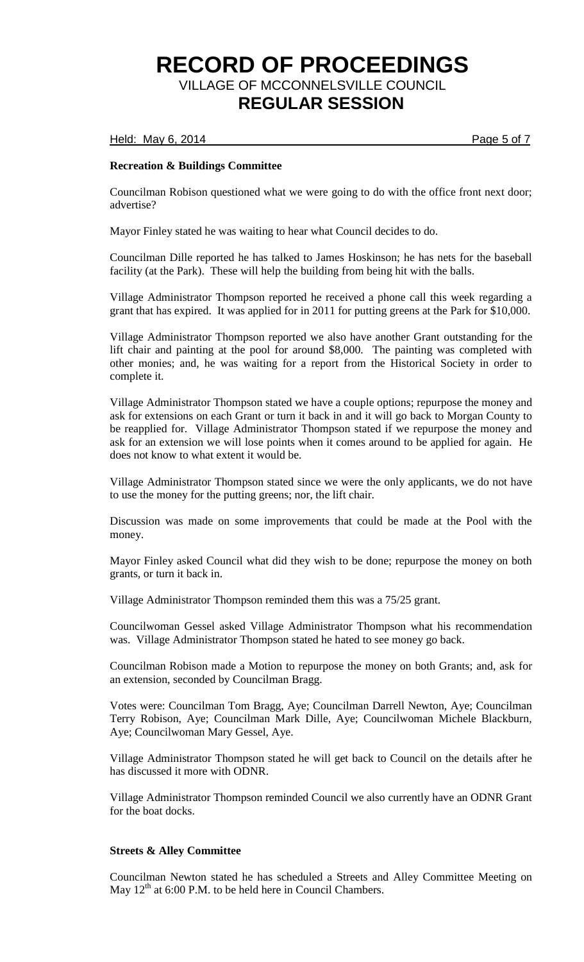### Held: May 6, 2014 **Page 5 of 7**

# **Recreation & Buildings Committee**

Councilman Robison questioned what we were going to do with the office front next door; advertise?

Mayor Finley stated he was waiting to hear what Council decides to do.

Councilman Dille reported he has talked to James Hoskinson; he has nets for the baseball facility (at the Park). These will help the building from being hit with the balls.

Village Administrator Thompson reported he received a phone call this week regarding a grant that has expired. It was applied for in 2011 for putting greens at the Park for \$10,000.

Village Administrator Thompson reported we also have another Grant outstanding for the lift chair and painting at the pool for around \$8,000. The painting was completed with other monies; and, he was waiting for a report from the Historical Society in order to complete it.

Village Administrator Thompson stated we have a couple options; repurpose the money and ask for extensions on each Grant or turn it back in and it will go back to Morgan County to be reapplied for. Village Administrator Thompson stated if we repurpose the money and ask for an extension we will lose points when it comes around to be applied for again. He does not know to what extent it would be.

Village Administrator Thompson stated since we were the only applicants, we do not have to use the money for the putting greens; nor, the lift chair.

Discussion was made on some improvements that could be made at the Pool with the money.

Mayor Finley asked Council what did they wish to be done; repurpose the money on both grants, or turn it back in.

Village Administrator Thompson reminded them this was a 75/25 grant.

Councilwoman Gessel asked Village Administrator Thompson what his recommendation was. Village Administrator Thompson stated he hated to see money go back.

Councilman Robison made a Motion to repurpose the money on both Grants; and, ask for an extension, seconded by Councilman Bragg.

Votes were: Councilman Tom Bragg, Aye; Councilman Darrell Newton, Aye; Councilman Terry Robison, Aye; Councilman Mark Dille, Aye; Councilwoman Michele Blackburn, Aye; Councilwoman Mary Gessel, Aye.

Village Administrator Thompson stated he will get back to Council on the details after he has discussed it more with ODNR.

Village Administrator Thompson reminded Council we also currently have an ODNR Grant for the boat docks.

# **Streets & Alley Committee**

Councilman Newton stated he has scheduled a Streets and Alley Committee Meeting on May  $12<sup>th</sup>$  at 6:00 P.M. to be held here in Council Chambers.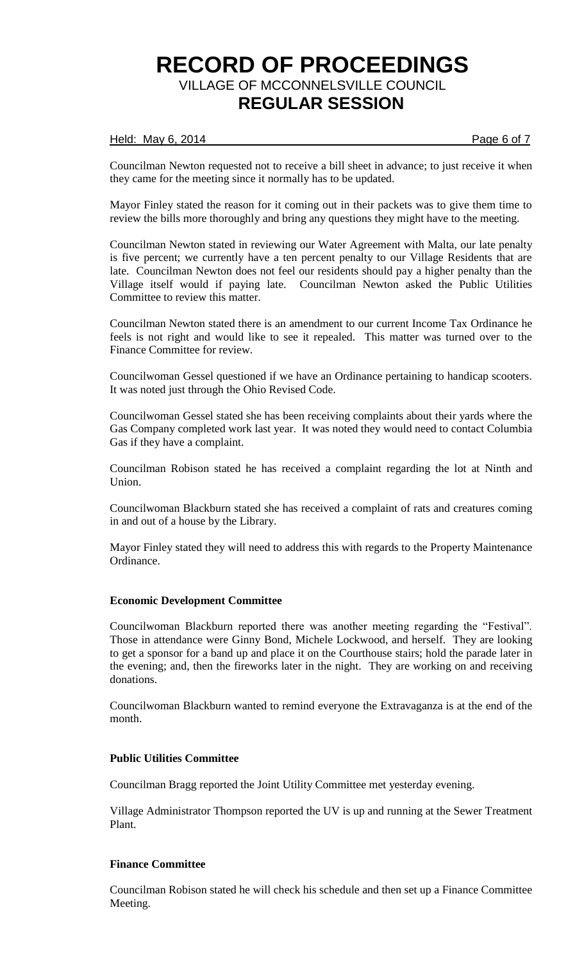## Held: May 6, 2014 **Page 6 of 7**

Councilman Newton requested not to receive a bill sheet in advance; to just receive it when they came for the meeting since it normally has to be updated.

Mayor Finley stated the reason for it coming out in their packets was to give them time to review the bills more thoroughly and bring any questions they might have to the meeting.

Councilman Newton stated in reviewing our Water Agreement with Malta, our late penalty is five percent; we currently have a ten percent penalty to our Village Residents that are late. Councilman Newton does not feel our residents should pay a higher penalty than the Village itself would if paying late. Councilman Newton asked the Public Utilities Committee to review this matter.

Councilman Newton stated there is an amendment to our current Income Tax Ordinance he feels is not right and would like to see it repealed. This matter was turned over to the Finance Committee for review.

Councilwoman Gessel questioned if we have an Ordinance pertaining to handicap scooters. It was noted just through the Ohio Revised Code.

Councilwoman Gessel stated she has been receiving complaints about their yards where the Gas Company completed work last year. It was noted they would need to contact Columbia Gas if they have a complaint.

Councilman Robison stated he has received a complaint regarding the lot at Ninth and Union.

Councilwoman Blackburn stated she has received a complaint of rats and creatures coming in and out of a house by the Library.

Mayor Finley stated they will need to address this with regards to the Property Maintenance Ordinance.

# **Economic Development Committee**

Councilwoman Blackburn reported there was another meeting regarding the "Festival". Those in attendance were Ginny Bond, Michele Lockwood, and herself. They are looking to get a sponsor for a band up and place it on the Courthouse stairs; hold the parade later in the evening; and, then the fireworks later in the night. They are working on and receiving donations.

Councilwoman Blackburn wanted to remind everyone the Extravaganza is at the end of the month.

# **Public Utilities Committee**

Councilman Bragg reported the Joint Utility Committee met yesterday evening.

Village Administrator Thompson reported the UV is up and running at the Sewer Treatment Plant.

## **Finance Committee**

Councilman Robison stated he will check his schedule and then set up a Finance Committee Meeting.